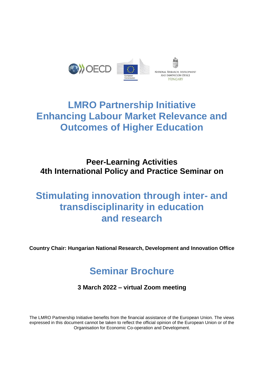

# **LMRO Partnership Initiative Enhancing Labour Market Relevance and Outcomes of Higher Education**

## **Peer-Learning Activities 4th International Policy and Practice Seminar on**

# **Stimulating innovation through inter- and transdisciplinarity in education and research**

**Country Chair: Hungarian National Research, Development and Innovation Office**

# **Seminar Brochure**

**3 March 2022 – virtual Zoom meeting** 

The LMRO Partnership Initiative benefits from the financial assistance of the European Union. The views expressed in this document cannot be taken to reflect the official opinion of the European Union or of the Organisation for Economic Co-operation and Development.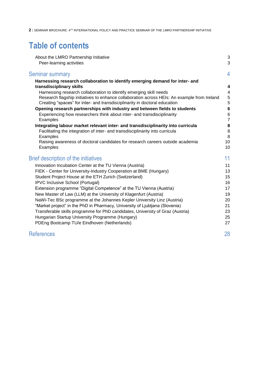## **Table of contents**

| About the LMRO Partnership Initiative                                                       | 3               |
|---------------------------------------------------------------------------------------------|-----------------|
| Peer-learning activities                                                                    | $\mathbf{3}$    |
| Seminar summary                                                                             | 4               |
| Harnessing research collaboration to identify emerging demand for inter- and                |                 |
| transdisciplinary skills                                                                    | 4               |
| Harnessing research collaboration to identify emerging skill needs                          | $\overline{4}$  |
| Research flagship initiatives to enhance collaboration across HEIs: An example from Ireland | $\sqrt{5}$      |
| Creating "spaces" for inter- and transdisciplinarity in doctoral education                  | 5               |
| Opening research partnerships with industry and between fields to students                  | $6\phantom{1}6$ |
| Experiencing how researchers think about inter- and transdisciplinarity                     | $\,6$           |
| Examples                                                                                    | $\overline{7}$  |
| Integrating labour market relevant inter- and transdisciplinarity into curricula            | 8               |
| FacilitatIng the integration of inter- and transdisciplinarity into curricula               | 8               |
| Examples<br>Raising awareness of doctoral candidates for research careers outside academia  | 8<br>10         |
| Examples                                                                                    | 10              |
| Brief description of the initiatives                                                        | 11              |
| Innovation Incubation Center at the TU Vienna (Austria)                                     | 11              |
| FIEK - Center for University-Industry Cooperation at BME (Hungary)                          | 13              |
| Student Project House at the ETH Zurich (Switzerland)                                       | 15              |
| IPVC Inclusive School (Portugal)                                                            | 16              |
| Extension programme "Digital Competence" at the TU Vienna (Austria)                         | 17              |
| New Master of Law (LLM) at the University of Klagenfurt (Austria)                           | 19              |
| NaWi-Tec BSc programme at the Johannes Kepler University Linz (Austria)                     | 20              |
| "Market project" in the PhD in Pharmacy, University of Ljubljana (Slovenia)                 | 21              |
| Transferable skills programme for PhD candidates, University of Graz (Austria)              | 23              |
| Hungarian Startup University Programme (Hungary)                                            | 25              |
| PDEng Bootcamp TU/e Eindhoven (Netherlands)                                                 | 27              |
| <b>References</b>                                                                           | 28              |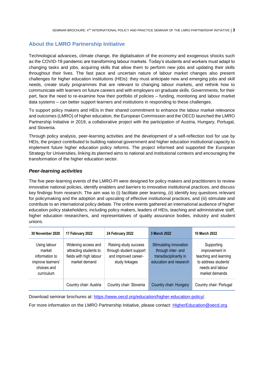## <span id="page-2-0"></span>**About the LMRO Partnership Initiative**

Technological advances, climate change, the digitalisation of the economy and exogenous shocks such as the COVID-19 pandemic are transforming labour markets. Today's students and workers must adapt to changing tasks and jobs, acquiring skills that allow them to perform new jobs and updating their skills throughout their lives. The fast pace and uncertain nature of labour market changes also present challenges for higher education institutions (HEIs): they must anticipate new and emerging jobs and skill needs, create study programmes that are relevant to changing labour markets, and rethink how to communicate with learners on future careers and with employers on graduate skills. Governments, for their part, face the need to re-examine how their portfolio of policies – funding, monitoring and labour market data systems – can better support learners and institutions in responding to these challenges.

To support policy makers and HEIs in their shared commitment to enhance the labour market relevance and outcomes (LMRO) of higher education, the European Commission and the OECD launched the LMRO Partnership Initiative in 2019, a collaborative project with the participation of Austria, Hungary, Portugal, and Slovenia.

Through policy analysis, peer-learning activities and the development of a self-reflection tool for use by HEIs, the project contributed to building national government and higher education institutional capacity to implement future higher education policy reforms. The project informed and supported the European Strategy for Universities, linking its planned aims to national and institutional contexts and encouraging the transformation of the higher education sector.

## <span id="page-2-1"></span>*Peer-learning activities*

The five peer-learning events of the LMRO-PI were designed for policy makers and practitioners to review innovative national policies, identify enablers and barriers to innovative institutional practices, and discuss key findings from research. The aim was to (i) facilitate peer learning, (ii) identify key questions relevant for policymaking and the adoption and upscaling of effective institutional practices, and (iii) stimulate and contribute to an international policy debate. The online events gathered an international audience of higher education policy stakeholders, including policy makers, leaders of HEIs, teaching and administrative staff, higher education researchers, and representatives of quality assurance bodies, industry and student unions.

| <b>30 November 2020</b>                                                                    | 17 February 2022                                                                          | 24 February 2022                                                                           | 3 March 2022                                                                                     | 10 March 2022                                                                                                       |
|--------------------------------------------------------------------------------------------|-------------------------------------------------------------------------------------------|--------------------------------------------------------------------------------------------|--------------------------------------------------------------------------------------------------|---------------------------------------------------------------------------------------------------------------------|
| Using labour<br>market<br>information to<br>improve learners'<br>choices and<br>curriculum | Widening access and<br>attracting students to<br>fields with high labour<br>market demand | Raising study success<br>through student support<br>and improved career-<br>study linkages | Stimulating innovation<br>through inter- and<br>transdisciplinarity in<br>education and research | Supporting<br>improvement in<br>teaching and learning<br>to address students'<br>needs and labour<br>market demands |
|                                                                                            | Country chair: Austria                                                                    | Country chair: Slovenia                                                                    | Country chair: Hungary                                                                           | Country chair: Portugal                                                                                             |

Download seminar brochures at: [https://www.oecd.org/education/higher-education-policy/.](https://www.oecd.org/education/higher-education-policy/)

For more information on the LMRO Partnership Initiative, please contact: [HigherEducation@oecd.org.](mailto:HigherEducation@oecd.org)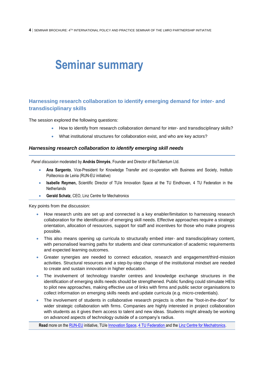# <span id="page-3-0"></span>**Seminar summary**

## <span id="page-3-1"></span>**Harnessing research collaboration to identify emerging demand for inter- and transdisciplinary skills**

The session explored the following questions:

- How to identify from research collaboration demand for inter- and transdisciplinary skills?
- What institutional structures for collaboration exist, and who are key actors?

#### <span id="page-3-2"></span>*Harnessing research collaboration to identify emerging skill needs*

*Panel discussion* moderated by **András Dinnyés**, Founder and Director of BioTalentum Ltd.

- **Ana Sargento**, Vice-President for Knowledge Transfer and co-operation with Business and Society, Instituto Politecnico de Leiria (RUN-EU initiative)
- **Isabelle Reymen,** Scientific Director of TU/e Innovation Space at the TU Eindhoven, 4 TU Federation in the **Netherlands**
- **Gerald Schatz**, CEO, [Linz Centre for Mechatronics](https://www.lcm.at/)

Key points from the discussion:

- How research units are set up and connected is a key enabler/limitation to harnessing research collaboration for the identification of emerging skill needs. Effective approaches require a strategic orientation, allocation of resources, support for staff and incentives for those who make progress possible.
- This also means opening up curricula to structurally embed inter- and transdisciplinary content, with personalised learning paths for students and clear communication of academic requirements and expected learning outcomes.
- Greater synergies are needed to connect education, research and engagement/third-mission activities. Structural resources and a step-by-step change of the institutional mindset are needed to create and sustain innovation in higher education.
- The involvement of technology transfer centres and knowledge exchange structures in the identification of emerging skills needs should be strengthened. Public funding could stimulate HEIs to pilot new approaches, making effective use of links with firms and public sector organisations to collect information on emerging skills needs and update curricula (e.g. micro-credentials).
- The involvement of students in collaborative research projects is often the "foot-in-the-door" for wider strategic collaboration with firms. Companies are highly interested in project collaboration with students as it gives them access to talent and new ideas. Students might already be working on advanced aspects of technology outside of a company's radius.

**Read** more on the [RUN-EU](https://run-eu.eu/) initiative, TU/[e Innovation Space,](https://www.tue.nl/en/education/tue-innovation-space/) [4 TU Federation](https://www.4tu.nl/en/) and th[e Linz Centre for Mechatronics.](https://www.lcm.at/en/)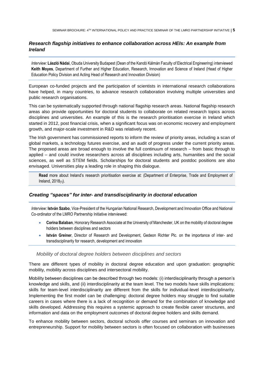## <span id="page-4-0"></span>*Research flagship initiatives to enhance collaboration across HEIs: An example from Ireland*

*Interview:* **László Nádai**, Obuda University Budapest (Dean of the Kandó Kálmán Faculty of Electrical Engineering) interviewed **Keith Moyes**, Department of Further and Higher Education, Research, Innovation and Science of Ireland (Head of Higher Education Policy Division and Acting Head of Research and Innovation Division)

European co-funded projects and the participation of scientists in international research collaborations have helped, in many countries, to advance research collaboration involving multiple universities and public research organisations.

This can be systematically supported through national flagship research areas. National flagship research areas also provide opportunities for doctoral students to collaborate on related research topics across disciplines and universities. An example of this is the research prioritisation exercise in Ireland which started in 2012, post financial crisis, when a significant focus was on economic recovery and employment growth, and major-scale investment in R&D was relatively recent.

The Irish government has commissioned reports to inform the review of priority areas, including a scan of global markets, a technology futures exercise, and an audit of progress under the current priority areas. The proposed areas are broad enough to involve the full continuum of research – from basic through to applied – and could involve researchers across all disciplines including arts, humanities and the social sciences, as well as STEM fields. Scholarships for doctoral students and postdoc positions are also envisaged. Universities play a leading role in shaping this dialogue.

**Read** more about Ireland's research prioritisation exercise at: (Department of Enterprise, Trade and Employment of Ireland, 2018<sub>[1]</sub>).

## <span id="page-4-1"></span>*Creating "spaces" for inter- and transdisciplinarity in doctoral education*

*Interview:* **István Szabo**, Vice-President of the Hungarian National Research, Development and Innovation Office and National Co-ordinator of the LMRO Partnership Initiative interviewed:

- **Corina Balaban**, Honorary Research Associate at the University of Manchester, UK on the mobility of doctoral degree holders between disciplines and sectors
- **István Greiner**, Director of Research and Development, Gedeon Richter Plc. on the importance of inter- and transdisciplinarity for research, development and innovation

#### *Mobility of doctoral degree holders between disciplines and sectors*

There are different types of mobility in doctoral degree education and upon graduation: geographic mobility, mobility across disciplines and intersectoral mobility.

Mobility between disciplines can be described through two models: (i) interdisciplinarity through a person's knowledge and skills, and (ii) interdisciplinarity at the team level. The two models have skills implications: skills for team-level interdisciplinarity are different from the skills for individual-level interdisciplinarity. Implementing the first model can be challenging: doctoral degree holders may struggle to find suitable careers in cases where there is a lack of recognition or demand for the combination of knowledge and skills developed. Addressing this requires a systemic approach to create flexible career structures, and information and data on the employment outcomes of doctoral degree holders and skills demand.

To enhance mobility between sectors, doctoral schools offer courses and seminars on innovation and entrepreneurship. Support for mobility between sectors is often focused on collaboration with businesses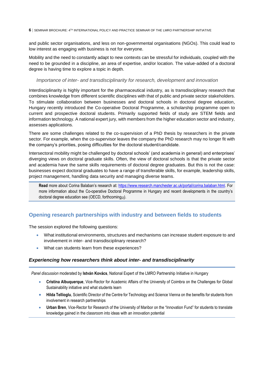and public sector organisations, and less on non-governmental organisations (NGOs). This could lead to low interest as engaging with business is not for everyone.

Mobility and the need to constantly adapt to new contexts can be stressful for individuals, coupled with the need to be grounded in a discipline, an area of expertise, and/or location. The value-added of a doctoral degree is having time to explore a topic in depth.

#### *Importance of inter- and transdisciplinarity for research, development and innovation*

Interdisciplinarity is highly important for the pharmaceutical industry, as is transdisciplinary research that combines knowledge from different scientific disciplines with that of public and private sector stakeholders. To stimulate collaboration between businesses and doctoral schools in doctoral degree education, Hungary recently introduced the Co-operative Doctoral Programme, a scholarship programme open to current and prospective doctoral students. Primarily supported fields of study are STEM fields and information technology. A national expert jury, with members from the higher education sector and industry, assesses applications.

There are some challenges related to the co-supervision of a PhD thesis by researchers in the private sector. For example, when the co-supervisor leaves the company the PhD research may no longer fit with the company's priorities, posing difficulties for the doctoral student/candidate.

Intersectoral mobility might be challenged by doctoral schools' (and academia in general) and enterprises' diverging views on doctoral graduate skills. Often, the view of doctoral schools is that the private sector and academia have the same skills requirements of doctoral degree graduates. But this is not the case: businesses expect doctoral graduates to have a range of transferable skills, for example, leadership skills, project management, handling data security and managing diverse teams.

**Read** more about Corina Balaban's research at: [https://www.research.manchester.ac.uk/portal/corina.balaban.html.](https://www.research.manchester.ac.uk/portal/corina.balaban.html) For more information about the Co-operative Doctoral Programme in Hungary and recent developments in the country's doctoral degree education see (OECD, forthcoming<sub>[2]</sub>).

## <span id="page-5-0"></span>**Opening research partnerships with industry and between fields to students**

The session explored the following questions:

- What institutional environments, structures and mechanisms can increase student exposure to and involvement in inter- and transdisciplinary research?
- What can students learn from these experiences?

## <span id="page-5-1"></span>*Experiencing how researchers think about inter- and transdisciplinarity*

*Panel discussion* moderated by **István Kovács**, National Expert of the LMRO Partnership Initiative in Hungary

- **Cristina Albuquerque**, Vice-Rector for Academic Affairs of the University of Coimbra on the Challenges for Global Sustainability initiative and what students learn
- **Hilda Tellioglu**, Scientific Director of the Centre for Technology and Science Vienna on the benefits for students from involvement in research partnerships
- **Urban Bren**, Vice-Rector for Research of the University of Maribor on the "[Innovation Fund](https://www.heinnovate.eu/sites/default/files/2021-11/Final%20Report%20EuRegionsWeek2021%20EAC%20webinar.pdf)" for students to translate knowledge gained in the classroom into ideas with an innovation potential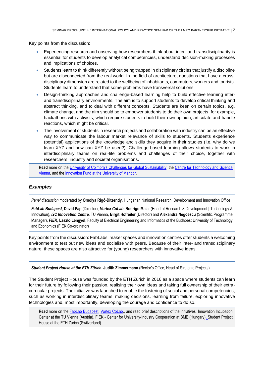Key points from the discussion:

- Experiencing research and observing how researchers think about inter- and transdisciplinarity is essential for students to develop analytical competencies, understand decision-making processes and implications of choices.
- Students learn to think differently without being trapped in disciplinary circles that justify a discipline but are disconnected from the real world. In the field of architecture, questions that have a crossdisciplinary dimension are related to the wellbeing of inhabitants, commuters, workers and tourists. Students learn to understand that some problems have transversal solutions.
- Design-thinking approaches and challenge-based learning help to build effective learning interand transdisciplinary environments. The aim is to support students to develop critical thinking and abstract thinking, and to deal with different concepts. Students are keen on certain topics, e.g. climate change, and the aim should be to empower students to do their own projects, for example, hackathons with activists, which require students to build their own opinion, articulate and handle reactions, which might be critical.
- The involvement of students in research projects and collaboration with industry can be an effective way to communicate the labour market relevance of skills to students. Students experience (potential) applications of the knowledge and skills they acquire in their studies (i.e. why do we learn XYZ and how can XYZ be used?). Challenge-based learning allows students to work in interdisciplinary teams on real-life problems and challenges of their choice, together with researchers, industry and societal organisations.

**Read** more on the University of C[oimbra's Challenges for Global Sustainability](https://www.uc.pt/en/article?key=a-93f96fbefc), the [Centre for Technology and Science](https://cts.wien/#:~:text=Gu%C3%9Fhaustra%C3%9Fe%2027%2D29%2C%201040%20Vienna,techn.)  [Vienna,](https://cts.wien/#:~:text=Gu%C3%9Fhaustra%C3%9Fe%2027%2D29%2C%201040%20Vienna,techn.) and the [Innovation Fund at the University of Maribor.](https://www.um.si/en/o-univerzi-en/inovacijsko-podporno-okolje/) 

## <span id="page-6-0"></span>*Examples*

*Panel discussion* moderated by **Orsolya Rigó-Ditzendy**, Hungarian National Research, Development and Innovation Office

*FabLab Budapest*, **David Pap** (Director), *Vortex CoLab*, **Rodrigo Maia**, (Head of Research & Development | Technology & Innovation), *I2C Innovation Centre*, TU Vienna, **Birgit Hofreiter** (Director) and **Alexandra Negoescu** (Scientific Programme Manager), *FIEK*, **Laszlo Lengyel**, Faculty of Electrical Engineering and Informatics of the Budapest University of Technology and Economics (FIEK Co-ordinator)

Key points from the discussion: FabLabs, maker spaces and innovation centres offer students a welcoming environment to test out new ideas and socialise with peers. Because of their inter- and transdisciplinary nature, these spaces are also attractive for (young) researchers with innovative ideas.

*Student Project House at the ETH Zürich*, **Judith Zimmermann** (Rector's Office, Head of Strategic Projects)

The Student Project House was founded by the ETH Zürich in 2016 as a space where students can learn for their future by following their passion, realising their own ideas and taking full ownership of their extracurricular projects. The initiative was launched to enable the fostering of social and personal competencies, such as working in interdisciplinary teams, making decisions, learning from failure, exploring innovative technologies and, most importantly, developing the courage and confidence to do so.

**Read** more on the [FabLab Budapest,](https://www.fablabs.io/labs/fablabbudapest) [Vortex CoLab,,](https://www.vortex-colab.com/) and read brief descriptions of the initiatives: [Innovation Incubation](#page-10-1)  Center [at the TU Vienna \(Austria\),](#page-10-1) FIEK - [Center for University-Industry Cooperation at BME \(Hungary\),](#page-12-0) [Student Project](#page-14-0)  House [at the ETH Zurich \(Switzerland\).](#page-14-0)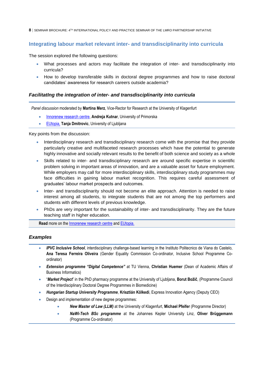## <span id="page-7-0"></span>**Integrating labour market relevant inter- and transdisciplinarity into curricula**

The session explored the following questions:

- What processes and actors may facilitate the integration of inter- and transdisciplinarity into curricula?
- How to develop transferable skills in doctoral degree programmes and how to raise doctoral candidates' awareness for research careers outside academia?

## <span id="page-7-1"></span>*FacilitatIng the integration of inter- and transdisciplinarity into curricula*

*Panel discussion* moderated by **Martina Merz**, Vice-Rector for Research at the University of Klagenfurt

- [Innorenew research centre,](https://innorenew.eu/) **Andreja Kutnar**, University of Primorska
- [EUtopia,](https://eutopia-university.eu/) **Tanja Dmitrovic**, University of Ljubljana

Key points from the discussion:

- Interdisciplinary research and transdisciplinary research come with the promise that they provide particularly creative and multifaceted research processes which have the potential to generate highly innovative and socially relevant results to the benefit of both science and society as a whole
- Skills related to inter- and transdisciplinary research are around specific expertise in scientific problem solving in important areas of innovation, and are a valuable asset for future employment. While employers may call for more interdisciplinary skills, interdisciplinary study programmes may face difficulties in gaining labour market recognition. This requires careful assessment of graduates' labour market prospects and outcomes.
- Inter- and transdisciplinarity should not become an elite approach. Attention is needed to raise interest among all students, to integrate students that are not among the top performers and students with different levels of previous knowledge.
- PhDs are very important for the sustainability of inter- and transdisciplinarity. They are the future teaching staff in higher education.

**Read** more on the [Innorenew research centre](https://innorenew.eu/) and [EUtopia.](https://eutopia-university.eu/)

## <span id="page-7-2"></span>*Examples*

- *IPVC Inclusive School*, interdisciplinary challenge-based learning in the Instituto Politecnico de Viana do Castelo, **Ana Teresa Ferreira Oliveira** (Gender Equality Commission Co-ordinator, Inclusive School Programme Coordinator)
- *Extension programme "Digital Competence"* at TU Vienna, **Christian Huemer** (Dean of Academic Affairs of Business Informatics)
- "*Market Project*" in the PhD pharmacy programme at the University of Ljubljana, **Borut Božič**, (Programme Council of the Interdisciplinary Doctoral Degree Programmes in Biomedicine)
- *Hungarian Startup University Programme*, **Krisztián Kölkedi**, Express Innovation Agency (Deputy CEO)
- Design and implementation of new degree programmes:
	- *New Master of Law (LLM)* at the University of Klagenfurt, **Michael Pfeifer** (Programme Director)
	- *NaWi-Tech BSc programme* at the Johannes Kepler University Linz, **Oliver Brüggemann** (Programme Co-ordinator)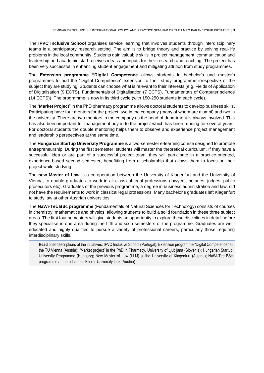The **IPVC Inclusive School** organises service learning that involves students through interdisciplinary teams in a participatory research setting. The aim is to bridge theory and practice by solving real-life problems in the local community. Students gain valuable skills in project management, communication and leadership and academic staff receives ideas and inputs for their research and teaching. The project has been very successful in enhancing student engagement and mitigating attrition from study programmes.

The **Extension programme "Digital Competence** allows students in bachelor's and master's programmes to add the "Digital Competence" extension to their study programme irrespective of the subject they are studying. Students can choose what is relevant to their interests (e.g. Fields of Application of Digitalisation (9 ECTS), Fundamentals of Digitalisation (7 ECTS), Fundamentals of Computer science (14 ECTS)). The programme is now in its third cycle (with 150-250 students in each cycle).

The "**Market Project**" in the PhD pharmacy programme allows doctoral students to develop business skills. Participating have four mentors for the project: two in the company (many of whom are alumni) and two in the university. There are two mentors in the company as the head of department is always involved. This has also been important for management buy-in to the project which has been running for several years. For doctoral students the double mentoring helps them to observe and experience project management and leadership perspectives at the same time.

The **Hungarian Startup University Programme** is a two-semester e-learning course designed to promote entrepreneurship. During the first semester, students will master the theoretical curriculum. If they have a successful idea or are part of a successful project team, they will participate in a practice-oriented, experience-based second semester, benefitting from a scholarship that allows them to focus on their project while studying.

The **new Master of Law** is a co-operation between the University of Klagenfurt and the University of Vienna, to enable graduates to work in all classical legal professions (lawyers, notaries, judges, public prosecutors etc). Graduates of the previous programme, a degree in business administration and law, did not have the requirements to work in classical legal professions. Many bachelor's graduates left Klagenfurt to study law at other Austrian universities.

The **NaWi-Tec BSc programme** (Fundamentals of Natural Sciences for Technology) consists of courses in chemistry, mathematics and physics, allowing students to build a solid foundation in these three subject areas. The first four semesters will give students an opportunity to explore these disciplines in detail before they specialise in one area during the fifth and sixth semesters of the programme. Graduates are welleducated and highly qualified to pursue a variety of professional careers, particularly those requiring interdisciplinary skills.

**Read** brief descriptions of the initiatives[: IPVC Inclusive School](#page-15-0) (Portugal); [Extension programme "Digital Competence"](#page-16-0) at [the TU Vienna \(Austria\);](#page-16-0) "Market project" in the PhD [in Pharmacy, University of Ljubljana \(Slovenia\);](#page-20-0) [Hungarian Startup](#page-24-0)  [University Programme \(Hungary\);](#page-24-0) [New Master of Law \(LLM\) at the University of Klagenfurt](#page-18-0) (Austria); [NaWi-Tec BSc](#page-19-0)  programme [at the Johannes Kepler University Linz](#page-19-0) (Austria):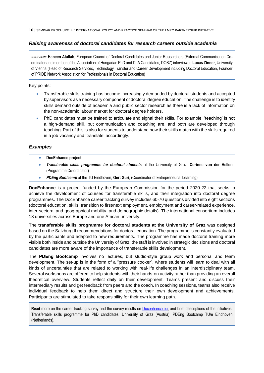## <span id="page-9-0"></span>*Raising awareness of doctoral candidates for research careers outside academia*

*Interview:* **Haneen Atallah**, European Council of Doctoral Candidates and Junior Researchers (External Communication Coordinator and member of the Association of Hungarian PhD and DLA Candidates, DOSZ) interviewed **Lucas Zinner**, University of Vienna (Head of Research Services, Technology Transfer and Career Development including Doctoral Education, Founder of PRIDE Network Association for Professionals in Doctoral Education)

Key points:

- Transferable skills training has become increasingly demanded by doctoral students and accepted by supervisors as a necessary component of doctoral degree education. The challenge is to identify skills demand outside of academia and public sector research as there is a lack of information on the non-academic labour market for doctoral degree holders.
- PhD candidates must be trained to articulate and signal their skills. For example, 'teaching' is not a high-demand skill, but communication and coaching are, and both are developed through teaching. Part of this is also for students to understand how their skills match with the skills required in a job vacancy and 'translate' accordingly.

## <span id="page-9-1"></span>*Examples*

- **DocEnhance project**
- *Transferable skills programme for doctoral students* at the University of Graz, **Corinne von der Hellen** (Programme Co-ordinator)
- *PDEng Bootcamp* at the TU Eindhoven, **Gert Guri**, (Coordinator of Entrepreneurial Learning)

**DocEnhance** is a project funded by the European Commission for the period 2020-22 that seeks to achieve the development of courses for transferable skills, and their integration into doctoral degree programmes. The DocEnhance career tracking survey includes 60-70 questions divided into eight sections (doctoral education, skills, transition to first/next employment, employment and career-related experience, inter-sectoral and geographical mobility, and demographic details). The international consortium includes 18 universities across Europe and one African university.

The **transferable skills programme for doctoral students at the University of Graz** was designed based on the Salzburg II recommendations for doctoral education. The programme is constantly evaluated by the participants and adapted to new requirements. The programme has made doctoral training more visible both inside and outside the University of Graz: the staff is involved in strategic decisions and doctoral candidates are more aware of the importance of transferable skills development.

The **PDEng Bootcamp** involves no lectures, but studio-style group work and personal and team development. The set-up is in the form of a "pressure cooker", where students will learn to deal with all kinds of uncertainties that are related to working with real-life challenges in an interdisciplinary team. Several workshops are offered to help students with their hands-on activity rather than providing an overall theoretical overview. Students reflect daily on their development. Teams present and discuss their intermediary results and get feedback from peers and the coach. In coaching sessions, teams also receive individual feedback to help them direct and structure their own development and achievements. Participants are stimulated to take responsibility for their own learning path.

**Read** more on the career tracking survey and the survey results on [Docenhance.eu;](https://docenhance.eu/) and brief descriptions of the initiatives: [Transferable skills programme for PhD candidates, University of Graz](#page-22-0) (Austria); [PDEng Bootcamp TU/e Eindhoven](#page-26-0)  [\(Netherlands\).](#page-26-0)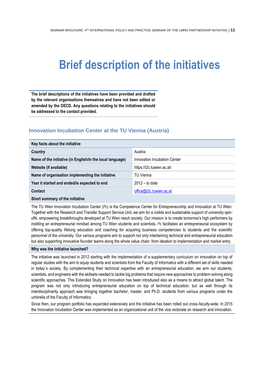# <span id="page-10-0"></span>**Brief description of the initiatives**

**The brief descriptions of the initiatives have been provided and drafted by the relevant organisations themselves and have not been edited or amended by the OECD. Any questions relating to the initiatives should be addressed to the contact provided.**

## <span id="page-10-1"></span>**Innovation Incubation Center at the TU Vienna (Austria)**

| Key facts about the initiative                            |                              |  |
|-----------------------------------------------------------|------------------------------|--|
| Country                                                   | Austria                      |  |
| Name of the initiative (in English/in the local language) | Innovation Incubation Center |  |
| Website (if available)                                    | https://i2c.tuwien.ac.at/    |  |
| Name of organisation implementing the initiative          | <b>TU Vienna</b>             |  |
| Year it started and ended/is expected to end              | $2012 -$ to date             |  |
| Contact                                                   | office@i2c.tuwien.ac.at      |  |
|                                                           |                              |  |

#### **Short summary of the initiative**

The TU Wien Innovation Incubation Center (i²c) is the Competence Center for Entrepreneurship and Innovation at TU Wien. Together with the Research and Transfer Support Service Unit, we aim for a visible and sustainable support of university spinoffs, empowering breakthroughs developed at TU Wien reach society. Our mission is to create tomorrow's high performers by instilling an entrepreneurial mindset among TU Wien students and scientists. i²c facilitates an entrepreneurial ecosystem by offering top-quality lifelong education and coaching for acquiring business competencies to students and the scientific personnel of the university. Our various programs aim to support not only intertwining technical and entrepreneurial education but also supporting innovative founder teams along the whole value chain: from ideation to implementation and market entry.

#### **Why was the initiative launched?**

The initiative was launched in 2012 starting with the implementation of a supplementary curriculum on innovation on top of regular studies with the aim to equip students and scientists from the Faculty of Informatics with a different set of skills needed in today´s society. By complementing their technical expertise with an entrepreneurial education, we arm our students, scientists, and engineers with the skillsets needed to tackle big problems that require new approaches to problem-solving along scientific approaches. This Extended Study on Innovation has been introduced also as a means to attract global talent. The program was not only introducing entrepreneurial education on top of technical education, but as well through its interdisciplinarity approach was bringing together bachelor, master, and Ph.D. students from various programs under the umbrella of the Faculty of Informatics.

Since then, our program portfolio has expanded extensively and the initiative has been rolled out cross-faculty-wide. In 2015 the Innovation Incubation Center was implemented as an organizational unit of the vice rectorate on research and innovation.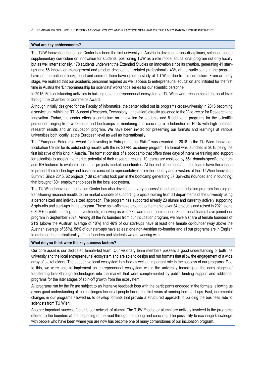#### **What are key achievements?**

The TUW Innovation Incubation Center has been the first university in Austria to develop a trans-disciplinary, selection-based supplementary curriculum on innovation for students, positioning TUW as a role model educational program not only locally but as well internationally. 178 students underwent the Extended Studies on Innovation since its creation, generating 41 startups and 56 innovation-management and product development-related professionals. 43% of the participants in the program have an international background and some of them have opted to study at TU Wien due to this curriculum. From an early stage, we realized that our academic personnel required as well access to entrepreneurial education and initiated for the first time in Austria the 'Entrepreneurship for scientists' workshops series for our scientific personnel.

In 2015, i<sup>2</sup>c's outstanding activities in building up an entrepreneurial ecosystem at TU Wien were recognized at the local level through the Chamber of Commerce Award.

Although initially designed for the Faculty of Informatics, the center rolled out its programs cross-university in 2015 becoming a service unit within the RTI Support (Research, Technology, Innovation) directly assigned to the Vice-rector for Research and Innovation. Today, the center offers a curriculum on innovation for students and 8 additional programs for the scientific personnel ranging from workshops and bootcamps to mentoring and coaching, a scholarship for PhDs with high potential research results and an incubation program. We have been invited for presenting our formats and learnings at various universities both locally, at the European level as well as internationally.

The ''European Enterprise Award for Investing in Entrepreneurial Skills'' was awarded in 2018 to the TU Wien Innovation Incubation Center for its outstanding results with the i²c STARTacademy program. Th format was launched in 2015 being the first initiative of this kind in Austria. The format consists of a boot camp that offers three days of intensive training and support for scientists to assess the market potential of their research results. 10 teams are assisted by 65+ domain-specific mentors and 10+ lecturers to evaluate the teams' projects market opportunities. At the end of the bootcamp, the teams have the chance to present their technology and business concept to representatives from the industry and investors at the TU Wien Innovation Summit. Since 2015, 62 projects (139 scientists) took part in the bootcamp generating 37 Spin-offs (founded and in founding) that brought 130+ employment places in the local ecosystem.

The TU Wien Innovation Incubation Center has also developed a very successful and unique incubation program focusing on transitioning research results to the market capable of supporting projects coming from all departments of the university using a personalized and individualized approach. The program has supported already 23 alumni and currently actively supporting 8 spin-offs and start-ups in the program. These spin-offs have brought to the market over 34 products and raised in 2021 alone € 39M+ in public funding and investments, receiving as well 27 awards and nominations. 8 additional teams have joined our program in September 2021. Among all the i<sup>2</sup>c founders from our incubation program, we have a share of female founders of 21% (above the Austrian average of 18%) and 46% of our start-ups have at least one female co-founder (way above the Austrian average of 35%). 58% of our start-ups have at least one non-Austrian co-founder and all our programs are in English to embrace the multiculturality of the founders and students we are working with.

#### **What do you think were the key success factors?**

Our core asset is our dedicated female-led team. Our visionary team members possess a good understanding of both the university and the local entrepreneurial ecosystem and are able to design and run formats that allow the engagement of a wide array of stakeholders. The supportive local ecosystem has had as well an important role in the success of our programs. Due to this, we were able to implement an entrepreneurial ecosystem within the university focusing on the early stages of transferring breakthrough technologies into the market that were complemented by public funding support and additional programs for the later stages of spin-off growth from the ecosystem.

All programs run by the i<sup>2</sup>c are subject to an intensive feedback loop with the participants engaged in the formats, allowing us a very good understanding of the challenges technical people face in the first years of running their start-ups. Fast, incremental changes in our programs allowed us to develop formats that provide a structured approach to building the business side to scientists from TU Wien.

Another important success factor is our network of alumni. The TUW i<sup>2</sup>ncubator alumni are actively involved in the programs offered to the founders at the beginning of the road through mentoring and coaching. The possibility to exchange knowledge with people who have been where you are now has become one of many cornerstones of our incubation program.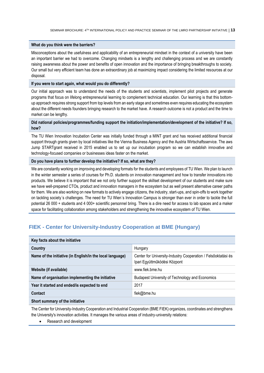#### **What do you think were the barriers?**

Misconceptions about the usefulness and applicability of an entrepreneurial mindset in the context of a university have been an important barrier we had to overcome. Changing mindsets is a lengthy and challenging process and we are constantly raising awareness about the power and benefits of open innovation and the importance of bringing breakthroughs to society. Our small but very efficient team has done an extraordinary job at maximizing impact considering the limited resources at our disposal.

#### **If you were to start again, what would you do differently?**

Our initial approach was to understand the needs of the students and scientists, implement pilot projects and generate programs that focus on lifelong entrepreneurial learning to complement technical education. Our learning is that this bottomup approach requires strong support from top levels from an early stage and sometimes even requires educating the ecosystem about the different needs founders bringing research to the market have. A research outcome is not a product and the time to market can be lengthy.

## **Did national policies/programmes/funding support the initiation/implementation/development of the initiative? If so, how?**

The TU Wien Innovation Incubation Center was initially funded through a MINT grant and has received additional financial support through grants given by local initiatives like the Vienna Business Agency and the Austria Wirtschaftsservice. The aws Jump STARTgrant received in 2015 enabled us to set up our incubation program so we can establish innovative and technology-focused companies or businesses ideas faster on the market.

#### **Do you have plans to further develop the initiative? If so, what are they?**

We are constantly working on improving and developing formats for the students and employees of TU Wien. We plan to launch in the winter semester a series of courses for Ph.D. students on innovation management and how to transfer innovations into products. We believe it is important that we not only further support the skillset development of our students and make sure we have well-prepared CTOs, product and innovation managers in the ecosystem but as well present alternative career paths for them. We are also working on new formats to actively engage citizens, the industry, start-ups, and spin-offs to work together on tackling society´s challenges. The need for TU Wien´s Innovation Campus is stronger than ever in order to tackle the full potential 26 000 + students and 4 000+ scientific personnel bring. There is a dire need for access to lab spaces and a maker space for facilitating collaboration among stakeholders and strengthening the innovative ecosystem of TU Wien.

## <span id="page-12-0"></span>**FIEK - Center for University-Industry Cooperation at BME (Hungary)**

| Key facts about the initiative                            |                                                                                               |  |
|-----------------------------------------------------------|-----------------------------------------------------------------------------------------------|--|
| Country                                                   | Hungary                                                                                       |  |
| Name of the initiative (in English/in the local language) | Center for University-Industry Cooperation / Felsőoktatási és<br>Ipari Együttműködési Központ |  |
| Website (if available)                                    | www.fiek.bme.hu                                                                               |  |
| Name of organisation implementing the initiative          | Budapest University of Technology and Economics                                               |  |
| Year it started and ended/is expected to end              | 2017                                                                                          |  |
| Contact                                                   | fiek@bme.hu                                                                                   |  |
| Short summary of the initiative                           |                                                                                               |  |

The Center for University-Industry Cooperation and Industrial Cooperation (BME FIEK) organizes, coordinates and strengthens the University's innovation activities. It manages the various areas of industry-university relations:

• Research and development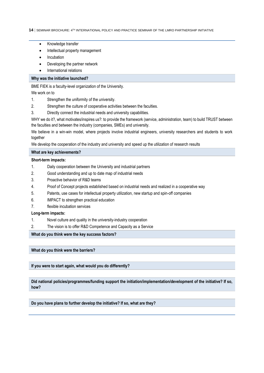- Knowledge transfer
- Intellectual property management
- Incubation
- Developing the partner network
- International relations

#### **Why was the initiative launched?**

BME FIEK is a faculty-level organization of the University.

We work on to

- 1. Strengthen the uniformity of the university.
- 2. Strengthen the culture of cooperative activities between the faculties.
- 3. Directly connect the industrial needs and university capabilities.

WHY we do it?, what motivates/inspires us?: to provide the framework (service, administration, team) to build TRUST between the faculties and between the industry (companies, SMEs) and university.

We believe in a win-win model, where projects involve industrial engineers, university researchers and students to work together

We develop the cooperation of the industry and university and speed up the utilization of research results

#### **What are key achievements?**

#### **Short-term impacts:**

- 1. Daily cooperation between the University and industrial partners
- 2. Good understanding and up to date map of industrial needs
- 3. Proactive behavior of R&D teams
- 4. Proof of Concept projects established based on industrial needs and realized in a cooperative way
- 5. Patents, use cases for intellectual property utilization, new startup and spin-off companies
- 6. IMPACT to strengthen practical education
- 7. flexible incubation services

## **Long-term impacts:**

- 1. Novel culture and quality in the university-industry cooperation
- 2. The vision is to offer R&D Competence and Capacity as a Service

**What do you think were the key success factors?**

**What do you think were the barriers?**

**If you were to start again, what would you do differently?**

**Did national policies/programmes/funding support the initiation/implementation/development of the initiative? If so, how?**

**Do you have plans to further develop the initiative? If so, what are they?**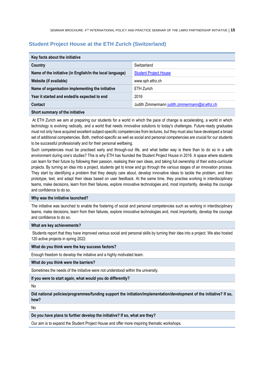## <span id="page-14-0"></span>**Student Project House at the ETH Zurich (Switzerland)**

| Key facts about the initiative                            |                                                |  |
|-----------------------------------------------------------|------------------------------------------------|--|
| Country                                                   | Switzerland                                    |  |
| Name of the initiative (in English/in the local language) | <b>Student Project House</b>                   |  |
| Website (if available)                                    | www.sph.ethz.ch                                |  |
| Name of organisation implementing the initiative          | ETH Zurich                                     |  |
| Year it started and ended/is expected to end              | 2016                                           |  |
| Contact                                                   | Judith Zimmermann judith.zimmermann@sl.ethz.ch |  |

#### **Short summary of the initiative**

At ETH Zurich we aim at preparing our students for a world in which the pace of change is accelerating, a world in which technology is evolving radically, and a world that needs innovative solutions to today's challenges. Future-ready graduates must not only have acquired excellent subject-specific competencies from lectures, but they must also have developed a broad set of additional competencies. Both, method-specific as well as social and personal competencies are crucial for our students to be successful professionally and for their personal wellbeing.

Such competencies must be practised early and through-out life, and what better way is there than to do so in a safe environment during one's studies? This is why ETH has founded the Student Project House in 2016. A space where students can learn for their future by following their passion, realising their own ideas, and taking full ownership of their extra-curricular projects. By turning an idea into a project, students get to know and go through the various stages of an innovation process. They start by identifying a problem that they deeply care about, develop innovative ideas to tackle the problem, and then prototype, test, and adapt their ideas based on user feedback. At the same time, they practise working in interdisciplinary teams, make decisions, learn from their failures, explore innovative technologies and, most importantly, develop the courage and confidence to do so.

#### **Why was the initiative launched?**

The initiative was launched to enable the fostering of social and personal competencies such as working in interdisciplinary teams, make decisions, learn from their failures, explore innovative technologies and, most importantly, develop the courage and confidence to do so.

#### **What are key achievements?**

Students report that they have improved various social and personal skills by turning their idea into a project. We also hosted 120 active projects in spring 2022.

#### **What do you think were the key success factors?**

Enough freedom to develop the initiative and a highly motivated team.

#### **What do you think were the barriers?**

Sometimes the needs of the initiative were not understood within the university.

#### **If you were to start again, what would you do differently?**

No

**Did national policies/programmes/funding support the initiation/implementation/development of the initiative? If so, how?**

No

**Do you have plans to further develop the initiative? If so, what are they?**

Our aim is to expand the Student Project House and offer more inspiring thematic workshops.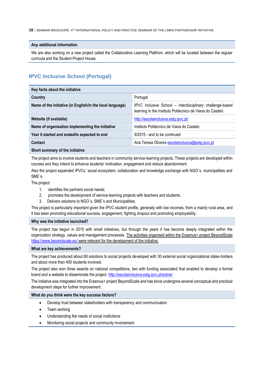#### **Any additional information**

We are also working on a new project called the Collaborative Learning Platfrom, which will be located between the regular curricula and the Student Project House.

## <span id="page-15-0"></span>**IPVC Inclusive School (Portugal)**

| Key facts about the initiative                            |                                                                                                                        |
|-----------------------------------------------------------|------------------------------------------------------------------------------------------------------------------------|
| Country                                                   | Portugal                                                                                                               |
| Name of the initiative (in English/in the local language) | IPVC Inclusive School - interdisciplinary challenge-based<br>learning in the Instituto Politecnico de Viana do Castelo |
| Website (if available)                                    | http://escolainclusiva.estg.ipvc.pt/                                                                                   |
| Name of organisation implementing the initiative          | Instituto Politécnico de Viana do Castelo                                                                              |
| Year it started and ended/is expected to end              | 9/2015 - and to be continued                                                                                           |
| Contact                                                   | Ana Teresa Oliveira escolainclusiva@estg.ipvc.pt                                                                       |
| Short summary of the initiative                           |                                                                                                                        |

The project aims to involve students and teachers in community service-learning projects. These projects are developed within courses and they intend to enhance students' motivation, engagement and reduce abandonment.

Also the project expanded IPVCs´ social ecosystem, collaboration and knowledge exchange with NGO´s, municipalities and SME´s.

The project:

- 1. identifies the partners social needs;
- 2. promotes the development of service-learning projects with teachers and students.
- 3. Delivers solutions to NGO´s, SME´s and Municipalities.

This project is particularly important given the IPVC student profile, generally with low incomes, from a mainly rural area, and it has been promoting educational success, engagement, fighting dropout and promoting employability.

#### **Why was the initiative launched?**

The project has begun in 2015 with small initiatives, but through the years it has become deeply integrated within the organization strategy, values and management processes. The activities organised within the Erasmus+ project BeyondScale <https://www.beyondscale.eu/> were relevant for the development of the initiative.

#### **What are key achievements?**

The project has produced about 60 solutions to social projects developed with 30 external social organizational stake-holders and about more than 400 students involved.

The project also won three awards on national competitions, two with funding associated that enabled to develop a formal brand and a website to disseminate the project.<http://escolainclusiva.estg.ipvc.pt/sobre/>

The initiative was integrated into the Erasmus+ project BeyondScale and has since undergone several conceptual and practical development steps for further improvement.

#### **What do you think were the key success factors?**

- Develop trust between stakeholders with transparency and communication
- Team working
- Understanding the needs of social institutions
- Monitoring social projects and community involvement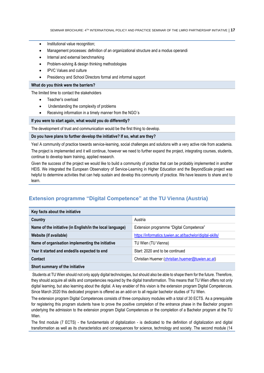- Institutional value recognition;
- Management processes: definition of an organizational structure and a modus operandi
- Internal and external benchmarking
- Problem-solving & design thinking methodologies
- IPVC Values and culture
- Presidency and School Directors formal and informal support

#### **What do you think were the barriers?**

The limited time to contact the stakeholders

- Teacher's overload
- Understanding the complexity of problems
- Receiving information in a timely manner from the NGO's

#### **If you were to start again, what would you do differently?**

The development of trust and communication would be the first thing to develop.

#### **Do you have plans to further develop the initiative? If so, what are they?**

Yes! A community of practice towards service-learning, social challenges and solutions with a very active role from academia.

The project is implemented and it will continue, however we need to further expand the project, integrating courses, students, continue to develop team training, applied research.

Given the success of the project we would like to build a community of practice that can be probably implemented in another HEIS. We integrated the European Observatory of Service-Learning in Higher Education and the BeyondScale project was helpful to determine activities that can help sustain and develop this community of practice. We have lessons to share and to learn.

## <span id="page-16-0"></span>**Extension programme "Digital Competence" at the TU Vienna (Austria)**

| Key facts about the initiative                            |                                                           |  |
|-----------------------------------------------------------|-----------------------------------------------------------|--|
| Country                                                   | Austria                                                   |  |
| Name of the initiative (in English/in the local language) | Extension programme "Digital Competence"                  |  |
| Website (if available)                                    | https://informatics.tuwien.ac.at/bachelor/digital-skills/ |  |
| Name of organisation implementing the initiative          | TU Wien (TU Vienna)                                       |  |
| Year it started and ended/is expected to end              | Start: 2020 and to be continued                           |  |
| Contact                                                   | Christian Huemer (christian.huemer@tuwien.ac.at)          |  |

#### **Short summary of the initiative**

Students at TU Wien should not only apply digital technologies, but should also be able to shape them for the future. Therefore, they should acquire all skills and competencies required by the digital transformation. This means that TU Wien offers not only digital learning, but also learning about the digital. A key enabler of this vision is the extension program Digital Competences. Since March 2020 this dedicated program is offered as an add-on to all regular bachelor studies of TU Wien.

The extension program Digital Competences consists of three compulsory modules with a total of 30 ECTS. As a prerequisite for registering this program students have to prove the positive completion of the entrance phase in the Bachelor program underlying the admission to the extension program Digital Competences or the completion of a Bachelor program at the TU Wien.

The first module (7 ECTS) - the fundamentals of digitalization - is dedicated to the definition of digitalization and digital transformation as well as its characteristics and consequences for science, technology and society. The second module (14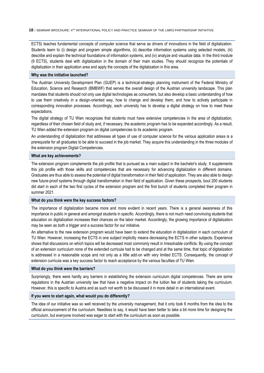ECTS) teaches fundamental concepts of computer science that serve as drivers of innovations in the field of digitalization. Students learn to (i) design and program simple algorithms, (ii) describe information systems using selected models, (iii) describe and explain the technical foundations of information systems, and (iv) analyze and visualize data. In the third module (9 ECTS), students deal with digitalization in the domain of their main studies. They should recognize the potentials of digitalization in their application area and apply the concepts of the digitalization in this area.

#### **Why was the initiative launched?**

The Austrian University Development Plan (GUEP) is a technical-strategic planning instrument of the Federal Ministry of Education, Science and Research (BMBWF) that serves the overall design of the Austrian university landscape. This plan mandates that students should not only use digital technologies as consumers, but also develop a basic understanding of how to use them creatively in a design-oriented way, how to change and develop them, and how to actively participate in corresponding innovation processes. Accordingly, each university has to develop a digital strategy on how to meet these expectations.

The digital strategy of TU Wien recognizes that students must have extensive competencies in the area of digitalization, regardless of their chosen field of study and, if necessary, the academic program has to be expanded accordingly. As a result, TU Wien added the extension program on digital competencies to its academic program.

An understanding of digitalization that addresses all types of use of computer science for the various application areas is a prerequisite for all graduates to be able to succeed in the job market. They acquire this understanding in the three modules of the extension program Digital Competencies.

#### **What are key achievements?**

The extension program complements the job profile that is pursued as a main subject in the bachelor's study. It supplements this job profile with those skills and competencies that are necessary for advancing digitalization in different domains. Graduates are thus able to assess the potential of digital transformation in their field of application. They are also able to design new future-proof systems through digital transformation in their field of application. Given these prospects, bout 200 students did start in each of the two first cycles of the extension program and the first bunch of students completed their program in summer 2021.

#### **What do you think were the key success factors?**

The importance of digitalization became more and more evident in recent years. There is a general awareness of this importance in public in general and amongst students in specific. Accordingly, there is not much need convincing students that education on digitalization increases their chances on the labor market. Accordingly, the growing importance of digitalization may be seen as both a trigger and a success factor for our initiative.

An alternative to the new extension program would have been to extend the education in digitalization in each curriculum of TU Wien. However, increasing the ECTS in one subject implicitly means decreasing the ECTS in other subjects. Experience shows that discussions on which topics will be decreased most commonly result in Irresolvable conflicts. By using the concept of an extension curriculum none of the extended curricula had to be changed and at the same time, that topic of digitalization is addressed in a reasonable scope and not only as a little add-on with very limited ECTS. Consequently, the concept of extension curricula was a key success factor to reach acceptance by the various faculties of TU Wien.

#### **What do you think were the barriers?**

Surprisingly, there were hardly any barriers in establishing the extension curriculum digital competences. There are some regulations in the Austrian university law that have a negative impact on the tuition fee of students taking the curriculum. However, this is specific to Austria and as such not worth to be discussed it in more detail in an international event.

#### **If you were to start again, what would you do differently?**

The idea of our initiative was so well received by the university management, that it only took 6 months from the idea to the official announcement of the curriculum. Needless to say, it would have been better to take a bit more time for designing the curriculum, but everyone involved was eager to start with the curriculum as soon as possible.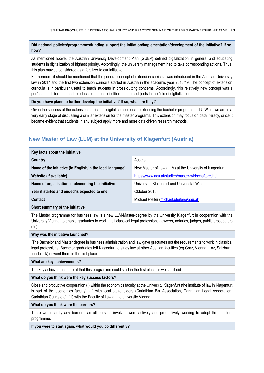#### **Did national policies/programmes/funding support the initiation/implementation/development of the initiative? If so, how?**

As mentioned above, the Austrian University Development Plan (GUEP) defined digitalization in general and educating students in digitalization of highest priority. Accordingly, the university management had to take corresponding actions. Thus, this plan may be considered as a fertilizer to our initiative.

Furthermore, it should be mentioned that the general concept of extension curricula was introduced in the Austrian University law in 2017 and the first two extension curricula started in Austria in the academic year 2018/19. The concept of extension curricula is in particular useful to teach students in cross-cutting concerns. Accordingly, this relatively new concept was a perfect match for the need to educate students of different main subjects in the field of digitalization.

#### **Do you have plans to further develop the initiative? If so, what are they?**

Given the success of the extension curriculum digital competencies extending the bachelor programs of TU Wien, we are in a very early stage of discussing a similar extension for the master programs. This extension may focus on data literacy, since it became evident that students in any subject apply more and more data-driven research methods.

## <span id="page-18-0"></span>**New Master of Law (LLM) at the University of Klagenfurt (Austria)**

| Key facts about the initiative                            |                                                         |
|-----------------------------------------------------------|---------------------------------------------------------|
| Country                                                   | Austria                                                 |
| Name of the initiative (in English/in the local language) | New Master of Law (LLM) at the University of Klagenfurt |
| Website (if available)                                    | https://www.aau.at/studien/master-wirtschaftsrecht/     |
| Name of organisation implementing the initiative          | Universität Klagenfurt und Univeristät Wien             |
| Year it started and ended/is expected to end              | Oktober 2018 -                                          |
| Contact                                                   | Michael Pfeifer (michael.pfeifer@aau.at)                |
| Short cummary of the initiative                           |                                                         |

#### **Short summary of the initiative**

The Master programme for business law is a new LLM-Master-degree by the University Klagenfurt in cooperation with the University Vienna, to enable graduates to work in all classical legal professions (lawyers, notaries, judges, public prosecutors etc)

#### **Why was the initiative launched?**

The Bachelor and Master degree in business administration and law gave graduates not the requirements to work in classical legal professions. Bachelor graduates left Klagenfurt to study law at other Austrian faculties (eg Graz, Vienna, Linz, Salzburg, Innsbruck) or went there in the first place.

#### **What are key achievements?**

The key achievements are at that this programme could start in the first place as well as it did.

#### **What do you think were the key success factors?**

Close and productive cooperation (I) within the economics faculty at the University Klagenfurt (the institute of law in Klagenfurt is part of the economics faculty); (ii) with local stakeholders (Carinthian Bar Association, Carinthian Legal Association, Carinthian Courts etc); (iii) with the Faculty of Law at the university Vienna

#### **What do you think were the barriers?**

There were hardly any barriers, as all persons involved were actively and productively working to adopt this masters programme.

#### **If you were to start again, what would you do differently?**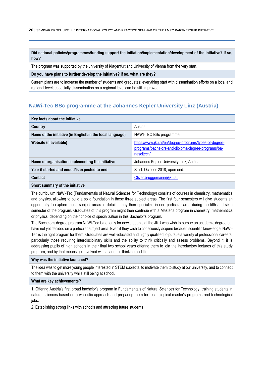## **Did national policies/programmes/funding support the initiation/implementation/development of the initiative? If so, how?**

The program was supported by the university of Klagenfurt and University of Vienna from the very start.

#### **Do you have plans to further develop the initiative? If so, what are they?**

Current plans are to increase the number of students and graduates; everything start with dissemination efforts on a local and regional level; especially dissemination on a regional level can be still improved.

## <span id="page-19-0"></span>**NaWi-Tec BSc programme at the Johannes Kepler University Linz (Austria)**

| Key facts about the initiative                            |                                                                                                                            |
|-----------------------------------------------------------|----------------------------------------------------------------------------------------------------------------------------|
| Country                                                   | Austria                                                                                                                    |
| Name of the initiative (in English/in the local language) | NAWI-TEC BSc programme                                                                                                     |
| Website (if available)                                    | https://www.jku.at/en/degree-programs/types-of-degree-<br>programs/bachelors-and-diploma-degree-programs/ba-<br>nascitech/ |
| Name of organisation implementing the initiative          | Johannes Kepler University Linz, Austria                                                                                   |
| Year it started and ended/is expected to end              | Start: October 2018, open end.                                                                                             |
| Contact                                                   | Oliver.brüggemann@jku.at                                                                                                   |
| Short summary of the initiative                           |                                                                                                                            |

## The curriculum NaWi-Tec (Fundamentals of Natural Sciences for Technology) consists of courses in chemistry, mathematics and physics, allowing to build a solid foundation in these three subject areas. The first four semesters will give students an opportunity to explore these subject areas in detail – they then specialize in one particular area during the fifth and sixth semester of the program. Graduates of this program might then continue with a Master's program in chemistry, mathematics

or physics, depending on their choice of specialization in this Bachelor's program.

The Bachelor's degree program NaWi-Tec is not only for new students at the JKU who wish to pursue an academic degree but have not yet decided on a particular subject area. Even if they wish to consciously acquire broader, scientific knowledge, NaWi-Tec is the right program for them. Graduates are well-educated and highly qualified to pursue a variety of professional careers, particularly those requiring interdisciplinary skills and the ability to think critically and assess problems. Beyond it, it is addressing pupils of high schools in their final two school years offering them to join the introductory lectures of this study program, and by that means get involved with academic thinking and life.

#### **Why was the initiative launched?**

The idea was to get more young people interested in STEM subjects, to motivate them to study at our university, and to connect to them with the university while still being at school.

#### **What are key achievements?**

1. Offering Austria's first broad bachelor's program in Fundamentals of Natural Sciences for Technology, training students in natural sciences based on a wholistic approach and preparing them for technological master's programs and technological jobs.

2. Establishing strong links with schools and attracting future students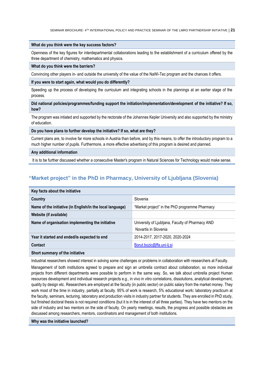#### **What do you think were the key success factors?**

Openness of the key figures for interdepartmental collaborations leading to the establishment of a curriculum offered by the three department of chemistry, mathematics and physics.

#### **What do you think were the barriers?**

Convincing other players in- and outside the university of the value of the NaWi-Tec program and the chances it offers.

#### **If you were to start again, what would you do differently?**

Speeding up the process of developing the curriculum and integrating schools in the plannings at an earlier stage of the process.

#### **Did national policies/programmes/funding support the initiation/implementation/development of the initiative? If so, how?**

The program was intiated and supported by the rectorate of the Johannes Kepler University and also supported by the ministry of education.

#### **Do you have plans to further develop the initiative? If so, what are they?**

Current plans are, to involve far more schools in Austria than before, and by this means, to offer the introductory program to a much higher number of pupils. Furthermore, a more effective advertising of this program is desired and planned.

#### **Any additional information**

<span id="page-20-0"></span>It is to be further discussed whether a consecutive Master's program in Natural Sciences for Technology would make sense.

## **"Market project" in the PhD in Pharmacy, University of Ljubljana (Slovenia)**

| Key facts about the initiative                            |                                                                          |
|-----------------------------------------------------------|--------------------------------------------------------------------------|
| Country                                                   | Slovenia                                                                 |
| Name of the initiative (in English/in the local language) | "Market project" in the PhD programme Pharmacy                           |
| Website (if available)                                    |                                                                          |
| Name of organisation implementing the initiative          | University of Ljubljana, Faculty of Pharmacy AND<br>Novartis in Slovenia |
| Year it started and ended/is expected to end              | 2014-2017, 2017-2020, 2020-2024                                          |
| Contact                                                   | Borut.bozic@ffa.uni-lj.si                                                |
|                                                           |                                                                          |

#### **Short summary of the initiative**

Industrial researchers showed interest in solving some challenges or problems in collaboration with researchers at Faculty.

Management of both institutions agreed to prepare and sign an umbrella contract about collaboration, so more individual projects from different departments were possible to perform in the same way. So, we talk about umbrella project Human resources development and individual research projects e.g., in vivo in vitro correlations, dissolutions, analytical development, quality by design etc. Researchers are employed at the faculty (in public sector) on public salary from the market money. They work most of the time in industry, partially at faculty. 95% of work is research, 5% educational work**:** laboratory practicum at the faculty, seminars, lecturing, laboratory and production visits in industry partner for students. They are enrolled in PhD study, but finished doctoral thesis is not required conditions (but it is in the interest of all three parties). They have two mentors on the side of industry and two mentors on the side of faculty. On yearly meetings, results, the progress and possible obstacles are discussed among researchers, mentors, coordinators and management of both institutions.

#### **Why was the initiative launched?**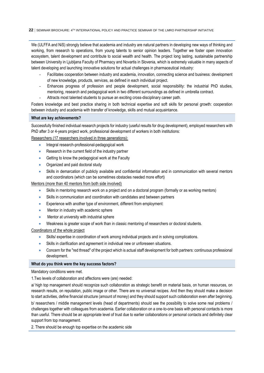We (ULFFA and NiS) strongly believe that academia and industry are natural partners in developing new ways of thinking and working, from research to operations, from young talents to senior opinion leaders. Together we foster open innovation ecosystem, talent development and contribute to social wealth and health. The project long lasting, sustainable partnership between University in Ljubljana Faculty of Pharmacy and Novartis in Slovenia, which is extremely valuable in many aspects of talent developing and launching innovative solutions for actual challenges in pharmaceutical industry:

- Facilitates cooperation between industry and academia, innovation, connecting science and business: development of new knowledge, products, services, as defined in each individual project.
- Enhances progress of profession and people development, social responsibility: the industrial PhD studies, mentoring, research and pedagogical work in two different surroundings as defined in umbrella contract.
- Attracts most talented students to pursue an exciting cross-disciplinary career path.

Fosters knowledge and best practice sharing in both technical expertise and soft skills for personal growth: cooperation between industry and academia with transfer of knowledge, skills and mutual acquaintance.

#### **What are key achievements?**

Successfully finished individual research projects for industry (useful results for drug development), employed researchers with PhD after 3 or 4-years project work, professional development of workers in both institutions:

Researchers (17 researchers involved in three generations):

- Integral research-professional-pedagogical work
- Research in the current field of the industry partner
- Getting to know the pedagogical work at the Faculty
- Organized and paid doctoral study
- Skills in demarcation of publicly available and confidential information and in communication with several mentors and coordinators (which can be sometimes obstacles needed more effort)

Mentors (more than 40 mentors from both side involved)

- Skills in mentoring research work on a project and on a doctoral program (formally or as working mentors)
- Skills in communication and coordination with candidates and between partners
- Experience with another type of environment, different from employment:
- Mentor in industry with academic sphere
- Mentor at university with industrial sphere
- Weakness is greater scope of work than in classic mentoring of researchers or doctoral students.

Coordinators of the whole project

- Skills/ expertise in coordination of work among individual projects and in solving complications.
- Skills in clarification and agreement in individual new or unforeseen situations.
- Concern for the "red thread" of the project which is actual staff development for both partners: continuous professional development.

#### **What do you think were the key success factors?**

Mandatory conditions were met.

1.Two levels of collaboration and affections were (are) needed:

a/ high top management should recognize such collaboration as strategic benefit on material basis, on human resources, on research results, on reputation, public image or other. There are no universal recipes. And then they should make a decision to start activities, define financial structure (amount of money) and they should support such collaboration even after beginning. b/ researchers / middle management levels (head of departments) should see the possibility to solve some real problems / challenges together with colleagues from academia. Earlier collaboration on a one-to-one basis with personal contacts is more than useful. There should be an appropriate level of trust due to earlier collaborations or personal contacts and definitely clear support from top management.

2. There should be enough top expertise on the academic side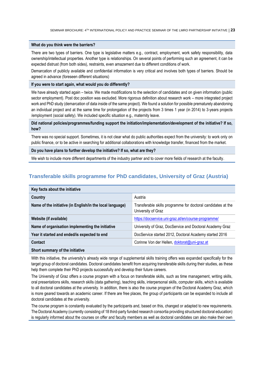#### **What do you think were the barriers?**

There are two types of barriers. One type is legislative matters e.g., contract, employment, work safety responsibility, data ownership/intellectual properties. Another type is relationships. On several points of performing such an agreement, it can be expected distrust (from both sides), restraints, even amazement due to different conditions of work.

Demarcation of publicly available and confidential information is very critical and involves both types of barriers. Should be agreed in advance (foreseen different situations)

#### **If you were to start again, what would you do differently?**

We have already started again – twice. We made modifications to the selection of candidates and on given information (public sector employment). Post doc position was excluded. More rigorous definition about research work – more integrated project work and PhD study (demarcation of data inside of the same project). We found a solution for possible prematurely abandoning an individual project and at the same time for prolongation of the projects from 3 times 1 year (in 2014) to 3-years projects /employment (social safety). We included specific situation e.g., maternity leave.

## **Did national policies/programmes/funding support the initiation/implementation/development of the initiative? If so, how?**

There was no special support. Sometimes, it is not clear what do public authorities expect from the university: to work only on public finance, or to be active in searching for additional collaborations with knowledge transfer, financed from the market.

#### **Do you have plans to further develop the initiative? If so, what are they?**

<span id="page-22-0"></span>We wish to include more different departments of the industry partner and to cover more fields of research at the faculty.

## **Transferable skills programme for PhD candidates, University of Graz (Austria)**

| Key facts about the initiative                            |                                                                                    |
|-----------------------------------------------------------|------------------------------------------------------------------------------------|
| Country                                                   | Austria                                                                            |
| Name of the initiative (in English/in the local language) | Transferable skills programme for doctoral candidates at the<br>University of Graz |
| Website (if available)                                    | https://docservice.uni-graz.at/en/course-programme/                                |
| Name of organisation implementing the initiative          | University of Graz, DocService and Doctoral Academy Graz                           |
| Year it started and ended/is expected to end              | DocService started 2012, Doctoral Academy started 2016                             |
| Contact                                                   | Corinne Von der Hellen, doktorat@uni-graz.at                                       |
|                                                           |                                                                                    |

**Short summary of the initiative**

With this initiative, the university's already wide range of supplemental skills training offers was expanded specifically for the target group of doctoral candidates. Doctoral candidates benefit from acquiring transferable skills during their studies, as these help them complete their PhD projects successfully and develop their future careers.

The University of Graz offers a course program with a focus on transferable skills, such as time management, writing skills, oral presentations skills, research skills (data gathering), teaching skills, interpersonal skills, computer skills, which is available to all doctoral candidates at the university. In addition, there is also the course program of the Doctoral Academy Graz, which is more geared towards an academic career. If there are free places, the group of participants can be expanded to include all doctoral candidates at the university.

The course program is constantly evaluated by the participants and, based on this, changed or adapted to new requirements. The Doctoral Academy (currently consisting of 18 third-party funded research consortia providing structured doctoral education) is regularly informed about the courses on offer and faculty members as well as doctoral candidates can also make their own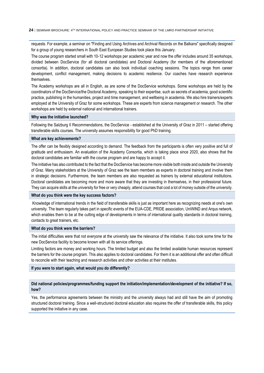requests. For example, a seminar on "Finding and Using Archives and Archival Records on the Balkans" specifically designed for a group of young researchers in South East European Studies took place this January.

The course program started small with 10-12 workshops per academic year and now the offer includes around 35 workshops, divided between DocService (for all doctoral candidates) and Doctoral Academy (for members of the aforementioned consortia). In addition, doctoral candidates can also book individual coaching sessions. The topics range from career development, conflict management, making decisions to academic resilience. Our coaches have research experience themselves.

The Academy workshops are all in English, as are some of the DocService workshops. Some workshops are held by the coordinators of the DocService/the Doctoral Academy, speaking to their expertise, such as secrets of academia, good scientific practice, publishing in the humanities, project and time management, and wellbeing in academia. We also hire trainers/experts employed at the University of Graz for some workshops. These are experts from science management or research. The other workshops are held by external national and international trainers.

#### **Why was the initiative launched?**

Following the Salzburg II Recommendations, the DocService - established at the University of Graz in 2011 – started offering transferable skills courses. The university assumes responsibility for good PhD training.

#### **What are key achievements?**

The offer can be flexibly designed according to demand. The feedback from the participants is often very positive and full of gratitude and enthusiasm. An evaluation of the Academy Consortia, which is taking place since 2020, also shows that the doctoral candidates are familiar with the course program and are happy to accept it.

The initiative has also contributed to the fact that the DocService has become more visible both inside and outside the University of Graz. Many stakeholders at the University of Graz see the team members as experts in doctoral training and involve them in strategic decisions. Furthermore, the team members are also requested as trainers by external educational institutions. Doctoral candidates are becoming more and more aware that they are investing in themselves, in their professional future. They can acquire skills at the university for free or very cheaply, attend courses that cost a lot of money outside of the university.

#### **What do you think were the key success factors?**

Knowledge of international trends in the field of transferable skills is just as important here as recognizing needs at one's own university. The team regularly takes part in specific events of the EUA-CDE, PRIDE association, UniWiND and Arqus network, which enables them to be at the cutting edge of developments in terms of international quality standards in doctoral training, contacts to great trainers, etc.

#### **What do you think were the barriers?**

The initial difficulties were that not everyone at the university saw the relevance of the initiative. It also took some time for the new DocService facility to become known with all its service offerings.

Limiting factors are money and working hours. The limited budget and also the limited available human resources represent the barriers for the course program. This also applies to doctoral candidates. For them it is an additional offer and often difficult to reconcile with their teaching and research activities and other activities at their institutes.

#### **If you were to start again, what would you do differently?**

#### **Did national policies/programmes/funding support the initiation/implementation/development of the initiative? If so, how?**

Yes, the performance agreements between the ministry and the university always had and still have the aim of promoting structured doctoral training. Since a well-structured doctoral education also requires the offer of transferable skills, this policy supported the initiative in any case.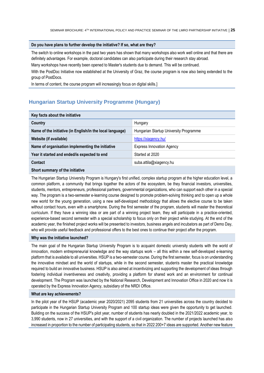#### **Do you have plans to further develop the initiative? If so, what are they?**

The switch to online workshops in the past two years has shown that many workshops also work well online and that there are definitely advantages. For example, doctoral candidates can also participate during their research stay abroad.

Many workshops have recently been opened to Master's students due to demand. This will be continued.

With the PostDoc Initiative now established at the University of Graz, the course program is now also being extended to the group of PostDocs.

<span id="page-24-0"></span>In terms of content, the course program will increasingly focus on digital skills.]

## **Hungarian Startup University Programme (Hungary)**

| Key facts about the initiative                            |                                        |  |
|-----------------------------------------------------------|----------------------------------------|--|
| Country                                                   | Hungary                                |  |
| Name of the initiative (in English/in the local language) | Hungarian Startup University Programme |  |
| Website (if available)                                    | https://xiagency.hu/                   |  |
| Name of organisation implementing the initiative          | <b>Express Innovation Agency</b>       |  |
| Year it started and ended/is expected to end              | Started at 2020                        |  |
| Contact                                                   | suba.attila@xiagency.hu                |  |
| Okaaksaanaan on oli iks tatiisitus                        |                                        |  |

**Short summary of the initiative**

The Hungarian Startup University Program is Hungary's first unified, complex startup program at the higher education level, a common platform, a community that brings together the actors of the ecosystem, be they financial investors, universities, students, mentors, entrepreneurs, professional partners, governmental organizations, who can support each other in a special way. The program is a two-semester e-learning course designed to promote problem-solving thinking and to open up a whole new world for the young generation, using a new self-developed methodology that allows the elective course to be taken without contact hours, even with a smartphone. During the first semester of the program, students will master the theoretical curriculum. If they have a winning idea or are part of a winning project team, they will participate in a practice-oriented, experience-based second semester with a special scholarship to focus only on their project while studying. At the end of the academic year, the finished project works will be presented to investors, business angels and incubators as part of Demo Day, who will provide useful feedback and professional offers to the best ones to continue their project after the program.

#### **Why was the initiative launched?**

The main goal of the Hungarian Startup University Program is to acquaint domestic university students with the world of innovation, modern entrepreneurial knowledge and the way startups work – all this within a new self-developed e-learning platform that is available to all universities. HSUP is a two-semester course. During the first semester, focus is on understanding the innovative mindset and the world of startups, while in the second semester, students master the practical knowledge required to build an innovative business. HSUP is also aimed at incentivizing and supporting the development of ideas through fostering individual inventiveness and creativity, providing a platform for shared work and an environment for continual development. The Program was launched by the National Research, Development and Innovation Office in 2020 and now it is operated by the Express Innovation Agency, subsidiary of the NRDI Office.

#### **What are key achievements?**

In the pilot year of the HSUP (academic year 2020/2021) 2095 students from 21 universities across the country decided to participate in the Hungarian Startup University Program and 100 startup ideas were given the opportunity to get launched. Building on the success of the HSUP's pilot year, number of students has nearly doubled in the 2021/2022 academic year, to 3,990 students, now in 27 universities, and with the support of a civil organization. The number of projects launched has also increased in proportion to the number of participating students, so that in 2022 200+7 ideas are supported. Another new feature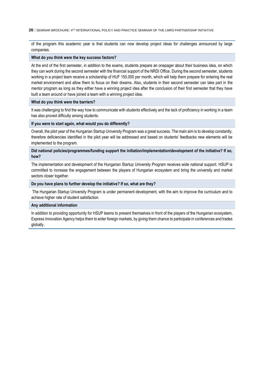of the program this academic year is that students can now develop project ideas for challenges announced by large companies.

#### **What do you think were the key success factors?**

At the end of the first semester, in addition to the exams, students prepare an onepager about their business idea, on which they can work during the second semester with the financial support of the NRDI Office. During the second semester, students working in a project team receive a scholarship of HUF 150.000 per month, which will help them prepare for entering the real market environment and allow them to focus on their dreams. Also, students in their second semester can take part in the mentor program as long as they either have a winning project idea after the conclusion of their first semester that they have built a team around or have joined a team with a winning project idea.

#### **What do you think were the barriers?**

It was challenging to find the way how to communicate with students effectively and the lack of proficiency in working in a team has also proved difficulty among students.

#### **If you were to start again, what would you do differently?**

Overall, the pilot year of the Hungarian Startup University Program was a great success. The main aim is to develop constantly, therefore deficiencies identified in the pilot year will be addressed and based on students' feedbacks new elements will be implemented to the program.

#### **Did national policies/programmes/funding support the initiation/implementation/development of the initiative? If so, how?**

The implementation and development of the Hungarian Startup University Program receives wide national support. HSUP is committed to increase the engagement between the players of Hungarian ecosystem and bring the university and market sectors closer together.

#### **Do you have plans to further develop the initiative? If so, what are they?**

The Hungarian Startup University Program is under permanent development, with the aim to improve the curriculum and to achieve higher rate of student satisfaction.

#### **Any additional information**

In addition to providing opportunity for HSUP teams to present themselves in front of the players of the Hungarian ecosystem, Express Innovation Agency helps them to enter foreign markets, by giving them chance to participate in conferences and trades globally.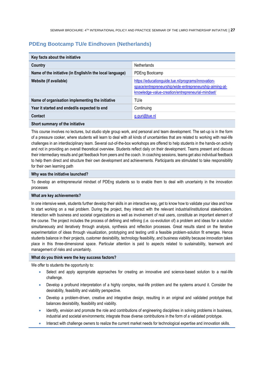## <span id="page-26-0"></span>**PDEng Bootcamp TU/e Eindhoven (Netherlands)**

| Key facts about the initiative                            |                                                                                                                                                                    |
|-----------------------------------------------------------|--------------------------------------------------------------------------------------------------------------------------------------------------------------------|
| Country                                                   | Netherlands                                                                                                                                                        |
| Name of the initiative (in English/in the local language) | PDEng Bootcamp                                                                                                                                                     |
| Website (if available)                                    | https://educationguide.tue.nl/programs/innovation-<br>space/entrepreneurship/wide-entrepreneurship-aiming-at-<br>knowledge-value-creation/entrepreneurial-mindset/ |
| Name of organisation implementing the initiative          | TU/e                                                                                                                                                               |
| Year it started and ended/is expected to end              | Continuing                                                                                                                                                         |
| Contact                                                   | g.guri@tue.nl                                                                                                                                                      |
| Short summary of the initiative                           |                                                                                                                                                                    |

This course involves no lectures, but studio style group work, and personal and team development. The set-up is in the form of a pressure cooker, where students will learn to deal with all kinds of uncertainties that are related to working with real-life challenges in an interdisciplinary team. Several out-of-the-box workshops are offered to help students in the hands-on activity and not in providing an overall theoretical overview. Students reflect daily on their development. Teams present and discuss their intermediary results and get feedback from peers and the coach. In coaching sessions, teams get also individual feedback to help them direct and structure their own development and achievements. Participants are stimulated to take responsibility for their own learning path

#### **Why was the initiative launched?**

To develop an entrepreneurial mindset of PDEng students so to enable them to deal with uncertainty in the innovation processes

#### **What are key achievements?**

In one intensive week, students further develop their skills in an interactive way, get to know how to validate your idea and how to start working on a real problem. During the project, they interact with the relevant industrial/institutional stakeholders. Interaction with business and societal organizations as well as involvement of real users, constitute an important element of the course. The project includes the process of defining and refining (i.e. co-evolution of) a problem and ideas for a solution simultaneously and iteratively through analysis, synthesis and reflection processes. Great results stand on the iterative experimentation of ideas through visualization, prototyping and testing until a feasible problem-solution fit emerges. Hence students balance in their projects, customer desirability, technology feasibility, and business viability because innovation takes place in this three-dimensional space. Particular attention is paid to aspects related to sustainability, teamwork and management of risks and uncertainty.

#### **What do you think were the key success factors?**

We offer to students the opportunity to:

- Select and apply appropriate approaches for creating an innovative and science-based solution to a real-life challenge.
- Develop a profound interpretation of a highly complex, real-life problem and the systems around it. Consider the desirability, feasibility and viability perspective.
- Develop a problem-driven, creative and integrative design, resulting in an original and validated prototype that balances desirability, feasibility and viability.
- Identify, envision and promote the role and contributions of engineering disciplines in solving problems in business, industrial and societal environments; integrate those diverse contributions in the form of a validated prototype.
- Interact with challenge owners to realize the current market needs for technological expertise and innovation skills.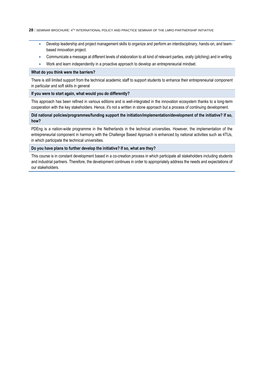- Develop leadership and project management skills to organize and perform an interdisciplinary, hands-on, and teambased innovation project.
- Communicate a message at different levels of elaboration to all kind of relevant parties, orally (pitching) and in writing.
- Work and learn independently in a proactive approach to develop an entrepreneurial mindset.

#### **What do you think were the barriers?**

There is still limited support from the technical academic staff to support students to enhance their entrepreneurial component in particular and soft skills in general

#### **If you were to start again, what would you do differently?**

This approach has been refined in various editions and is well-integrated in the innovation ecosystem thanks to a long-term cooperation with the key stakeholders. Hence, it's not a written in stone approach but a process of continuing development.

#### **Did national policies/programmes/funding support the initiation/implementation/development of the initiative? If so, how?**

PDEng is a nation-wide programme in the Netherlands in the technical universities. However, the implementation of the entrepreneurial component in harmony with the Challenge Based Approach is enhanced by national activities such as 4TUs, in which participate the technical universities.

#### **Do you have plans to further develop the initiative? If so, what are they?**

<span id="page-27-0"></span>This course is in constant development based in a co-creation process in which participate all stakeholders including students and industrial partners. Therefore, the development continues in order to appropriately address the needs and expectations of our stakeholders.